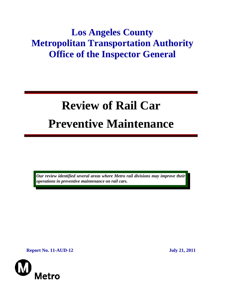## **Los Angeles County Metropolitan Transportation Authority Office of the Inspector General**

# **Review of Rail Car Preventive Maintenance**

*Our review identified several areas where Metro rail divisions may improve their operations in preventive maintenance on rail cars.* 

**Report No. 11-AUD-12** July 21, 2011

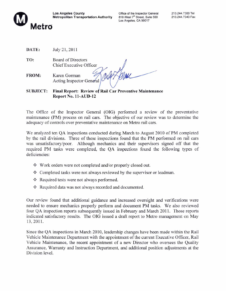

Office of the Inspector General 818 West 7<sup>th</sup> Street, Suite 500 Los Angeles, CA 90017

DATE: July 21, 2011

TO: Board of Directors Chief Executive Officer

Tour Horne FROM: Karen Gorman Acting Inspector General

**SUBJECT:** Final Report: Review of Rail Car Preventive Maintenance **Report No. 11-AUD-12** 

The Office of the Inspector General (OIG) performed a review of the preventative maintenance (PM) process on rail cars. The objective of our review was to determine the adequacy of controls over preventative maintenance on Metro rail cars.

We analyzed ten QA inspections conducted during March to August 2010 of PM completed by the rail divisions. Three of these inspections found that the PM performed on rail cars was unsatisfactory/poor. Although mechanics and their supervisors signed off that the required PM tasks were completed, the QA inspections found the following types of deficiencies:

- ❖ Work orders were not completed and/or properly closed out.
- ❖ Completed tasks were not always reviewed by the supervisor or leadman.
- Required tests were not always performed.
- ❖ Required data was not always recorded and documented.

Our review found that additional guidance and increased oversight and verifications were needed to ensure mechanics properly perform and document PM tasks. We also reviewed four QA inspection reports subsequently issued in February and March 2011. Those reports indicated satisfactory results. The OIG issued a draft report to Metro management on May 13, 2011.

Since the QA inspections in March 2010, leadership changes have been made within the Rail Vehicle Maintenance Department with the appointment of the current Executive Officer, Rail Vehicle Maintenance, the recent appointment of a new Director who oversees the Quality Assurance, Warranty and Instruction Department, and additional position adjustments at the Division level.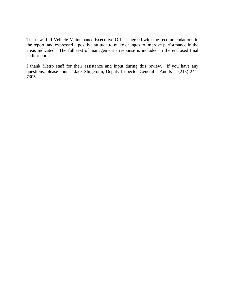The new Rail Vehicle Maintenance Executive Officer agreed with the recommendations in the report, and expressed a positive attitude to make changes to improve performance in the areas indicated. The full text of management's response is included in the enclosed final audit report.

I thank Metro staff for their assistance and input during this review. If you have any questions, please contact Jack Shigetomi, Deputy Inspector General – Audits at (213) 244- 7305.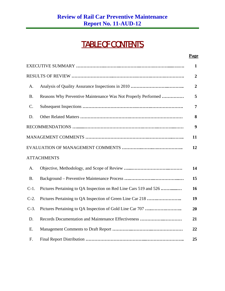## TABLE OF CONTENTS

#### **Page**

|           |                                                                   | $\mathbf{1}$     |
|-----------|-------------------------------------------------------------------|------------------|
|           |                                                                   | $\overline{2}$   |
| A.        |                                                                   | $\overline{2}$   |
| <b>B.</b> | Reasons Why Preventive Maintenance Was Not Properly Performed     | 5                |
| C.        |                                                                   | $\overline{7}$   |
| D.        |                                                                   | 8                |
|           |                                                                   | $\boldsymbol{9}$ |
|           |                                                                   | 11               |
|           |                                                                   | 12               |
|           | <b>ATTACHMENTS</b>                                                |                  |
| A.        |                                                                   | 14               |
| <b>B.</b> |                                                                   | 15               |
| $C-1$ .   | Pictures Pertaining to QA Inspection on Red Line Cars 519 and 526 | 16               |
| $C-2$ .   |                                                                   | 19               |
| $C-3$ .   |                                                                   | 20               |
| D.        | Records Documentation and Maintenance Effectiveness               | 21               |
| Ε.        |                                                                   | 22               |
| F.        |                                                                   | 25               |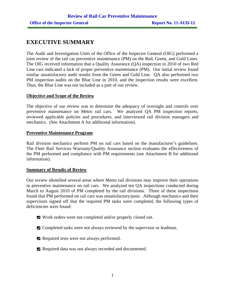## **EXECUTIVE SUMMARY**

The Audit and Investigation Units of the Office of the Inspector General (OIG) performed a joint review of the rail car preventive maintenance (PM) on the Red, Green, and Gold Lines. The OIG received information that a Quality Assurance (QA) inspection in 2010 of two Red Line cars indicated a lack of proper preventive maintenance (PM). Our initial review found similar unsatisfactory audit results from the Green and Gold Line. QA also performed two PM inspection audits on the Blue Line in 2010, and the inspection results were excellent. Thus, the Blue Line was not included as a part of our review.

#### **Objective and Scope of the Review**

The objective of our review was to determine the adequacy of oversight and controls over preventive maintenance on Metro rail cars. We analyzed QA PM inspection reports, reviewed applicable policies and procedures, and interviewed rail division managers and mechanics. (See Attachment A for additional information).

#### **Preventive Maintenance Program**

Rail division mechanics perform PM on rail cars based on the manufacturer's guidelines. The Fleet Rail Services Warranty/Quality Assurance section evaluates the effectiveness of the PM performed and compliance with PM requirements (see Attachment B for additional information).

#### **Summary of Results of Review**

Our review identified several areas where Metro rail divisions may improve their operations in preventive maintenance on rail cars. We analyzed ten QA inspections conducted during March to August 2010 of PM completed by the rail divisions. Three of these inspections found that PM performed on rail cars was unsatisfactory/poor. Although mechanics and their supervisors signed off that the required PM tasks were completed, the following types of deficiencies were found:

- Work orders were not completed and/or properly closed out.
- $\blacksquare$  Completed tasks were not always reviewed by the supervisor or leadman.
- Required tests were not always performed.
- Required data was not always recorded and documented.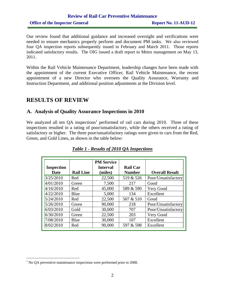## **Review of Rail Car Preventive Maintenance Office of the Inspector General Report No. 11-AUD-12**

Our review found that additional guidance and increased oversight and verifications were needed to ensure mechanics properly perform and document PM tasks. We also reviewed four QA inspection reports subsequently issued in February and March 2011. Those reports indicated satisfactory results. The OIG issued a draft report to Metro management on May 13, 2011.

Within the Rail Vehicle Maintenance Department, leadership changes have been made with the appointment of the current Executive Officer, Rail Vehicle Maintenance, the recent appointment of a new Director who oversees the Quality Assurance, Warranty and Instruction Department, and additional position adjustments at the Division level.

## **RESULTS OF REVIEW**

#### **A. Analysis of Quality Assurance Inspections in 2010**

We analyzed all ten  $QA$  inspections<sup>1</sup> performed of rail cars during 2010. Three of these inspections resulted in a rating of poor/unsatisfactory, while the others received a rating of satisfactory or higher. The three poor/unsatisfactory ratings were given to cars from the Red, Green, and Gold Lines, as shown in the table below:

| <b>Inspection</b> |                  | <b>PM Service</b><br><b>Interval</b> | <b>Rail Car</b> |                       |
|-------------------|------------------|--------------------------------------|-----------------|-----------------------|
| Date              | <b>Rail Line</b> | (miles)                              | <b>Number</b>   | <b>Overall Result</b> |
| 3/25/2010         | Red              | 22,500                               | 519 & 526       | Poor/Unsatisfactory   |
| 4/01/2010         | Green            | 7,500                                | 217             | Good                  |
| 4/16/2010         | Red              | 45,000                               | 589 & 590       | Very Good             |
| 4/22/2010         | Blue             | 5,000                                | 134             | Excellent             |
| 5/24/2010         | Red              | 22,500                               | 507 & 510       | Good                  |
| 5/26/2010         | Green            | 90,000                               | 218             | Poor/Unsatisfactory   |
| 6/03/2010         | Gold             | 30,000                               | 707             | Poor/Unsatisfactory   |
| 6/30/2010         | Green            | 22,500                               | 203             | Very Good             |
| 7/08/2010         | Blue             | 30,000                               | 107             | Excellent             |
| 8/02/2010         | Red              | 90,000                               | 597 & 598       | Excellent             |

#### *Table 1 - Results of 2010 QA Inspections*

 $\overline{a}$ 

 $<sup>1</sup>$  No QA preventive maintenance inspections were performed prior to 2008.</sup>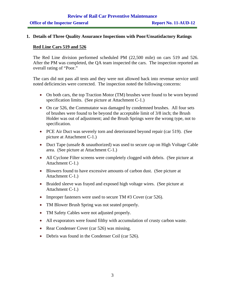## **Review of Rail Car Preventive Maintenance Office of the Inspector General Report No. 11-AUD-12**

#### **1. Details of Three Quality Assurance Inspections with Poor/Unsatisfactory Ratings**

#### **Red Line Cars 519 and 526**

The Red Line division performed scheduled PM (22,500 mile) on cars 519 and 526. After the PM was completed, the QA team inspected the cars. The inspection reported an overall rating of "Poor."

The cars did not pass all tests and they were not allowed back into revenue service until noted deficiencies were corrected. The inspection noted the following concerns:

- On both cars, the top Traction Motor (TM) brushes were found to be worn beyond specification limits. (See picture at Attachment C-1.)
- On car 526, the Commutator was damaged by condemned brushes. All four sets of brushes were found to be beyond the acceptable limit of 3/8 inch; the Brush Holder was out of adjustment; and the Brush Springs were the wrong type, not to specification.
- PCE Air Duct was severely torn and deteriorated beyond repair (car 519). (See picture at Attachment C-1.)
- Duct Tape (unsafe & unauthorized) was used to secure cap on High Voltage Cable area. (See picture at Attachment C-1.)
- All Cyclone Filter screens were completely clogged with debris. (See picture at Attachment C-1.)
- Blowers found to have excessive amounts of carbon dust. (See picture at Attachment C-1.)
- Braided sleeve was frayed and exposed high voltage wires. (See picture at Attachment C-1.)
- Improper fasteners were used to secure TM #3 Cover (car 526).
- TM Blower Brush Spring was not seated properly.
- TM Safety Cables were not adjusted properly.
- All evaporators were found filthy with accumulation of crusty carbon waste.
- Rear Condenser Cover (car 526) was missing.
- Debris was found in the Condenser Coil (car 526).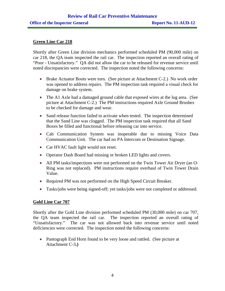#### **Green Line Car 218**

Shortly after Green Line division mechanics performed scheduled PM (90,000 mile) on car 218, the QA team inspected the rail car. The inspection reported an overall rating of "Poor - Unsatisfactory." QA did not allow the car to be released for revenue service until noted discrepancies were corrected. The inspection noted the following concerns:

- Brake Actuator Boots were torn. (See picture at Attachment C-2.) No work order was opened to address repairs. The PM inspection task required a visual check for damage on brake system.
- The A1 Axle had a damaged ground cable that exposed wires at the lug area. (See picture at Attachment C-2.) The PM instructions required Axle Ground Brushes to be checked for damage and wear.
- Sand release function failed to activate when tested. The inspection determined that the Sand Line was clogged. The PM inspection task required that all Sand Boxes be filled and functional before releasing car into service.
- Cab Communication System was inoperable due to missing Voice Data Communication Unit. The car had no PA Intercom or Destination Signage.
- Car HVAC fault light would not reset.
- Operator Dash Board had missing or broken LED lights and covers.
- All PM tasks/inspections were not performed on the Twin Tower Air Dryer (an O-Ring was not replaced). PM instructions require overhaul of Twin Tower Drain Value.
- Required PM was not performed on the High Speed Circuit Breaker.
- Tasks/jobs were being signed-off; yet tasks/jobs were not completed or addressed.

#### **Gold Line Car 707**

Shortly after the Gold Line division performed scheduled PM (30,000 mile) on car 707, the QA team inspected the rail car. The inspection reported an overall rating of "Unsatisfactory." The car was not allowed back into revenue service until noted deficiencies were corrected. The inspection noted the following concerns:

• Pantograph End Horn found to be very loose and rattled. (See picture at Attachment C-3**.)**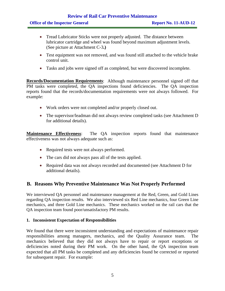#### **Review of Rail Car Preventive Maintenance Office of the Inspector General Report No. 11-AUD-12**

- Tread Lubricator Sticks were not properly adjusted. The distance between lubricator cartridge and wheel was found beyond maximum adjustment levels. (See picture at Attachment C-3**.)**
- Test equipment was not removed, and was found still attached to the vehicle brake control unit.
- Tasks and jobs were signed off as completed, but were discovered incomplete.

**Records/Documentation Requirements**: Although maintenance personnel signed off that PM tasks were completed, the QA inspections found deficiencies. The QA inspection reports found that the records/documentation requirements were not always followed. For example:

- Work orders were not completed and/or properly closed out.
- The supervisor/leadman did not always review completed tasks (see Attachment D for additional details).

**Maintenance Effectiveness**: The QA inspection reports found that maintenance effectiveness was not always adequate such as:

- Required tests were not always performed.
- The cars did not always pass all of the tests applied.
- Required data was not always recorded and documented (see Attachment D for additional details).

#### **B. Reasons Why Preventive Maintenance Was Not Properly Performed**

We interviewed QA personnel and maintenance management at the Red, Green, and Gold Lines regarding QA inspection results. We also interviewed six Red Line mechanics, four Green Line mechanics, and three Gold Line mechanics. These mechanics worked on the rail cars that the QA inspection team found poor/unsatisfactory PM results.

#### **1. Inconsistent Expectation of Responsibilities**

We found that there were inconsistent understanding and expectations of maintenance repair responsibilities among managers, mechanics, and the Quality Assurance team. The mechanics believed that they did not always have to repair or report exceptions or deficiencies noted during their PM work. On the other hand, the QA inspection team expected that all PM tasks be completed and any deficiencies found be corrected or reported for subsequent repair. For example: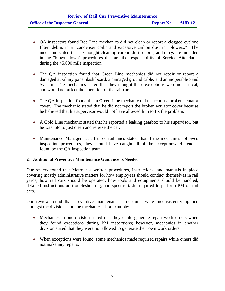- QA inspectors found Red Line mechanics did not clean or report a clogged cyclone filter, debris in a "condenser coil," and excessive carbon dust in "blowers." The mechanic stated that he thought cleaning carbon dust, debris, and clogs are included in the "blown down" procedures that are the responsibility of Service Attendants during the 45,000 mile inspection.
- The QA inspection found that Green Line mechanics did not repair or report a damaged auxiliary panel dash board, a damaged ground cable, and an inoperable Sand System. The mechanics stated that they thought these exceptions were not critical, and would not affect the operation of the rail car.
- The QA inspection found that a Green Line mechanic did not report a broken actuator cover. The mechanic stated that he did not report the broken actuator cover because he believed that his supervisor would not have allowed him to fix the problem.
- A Gold Line mechanic stated that he reported a leaking gearbox to his supervisor, but he was told to just clean and release the car.
- Maintenance Managers at all three rail lines stated that if the mechanics followed inspection procedures, they should have caught all of the exceptions/deficiencies found by the QA inspection team.

#### **2. Additional Preventive Maintenance Guidance Is Needed**

Our review found that Metro has written procedures, instructions, and manuals in place covering mostly administrative matters for how employees should conduct themselves in rail yards, how rail cars should be operated, how tools and equipments should be handled, detailed instructions on troubleshooting, and specific tasks required to perform PM on rail cars.

Our review found that preventive maintenance procedures were inconsistently applied amongst the divisions and the mechanics. For example:

- Mechanics in one division stated that they could generate repair work orders when they found exceptions during PM inspections; however, mechanics in another division stated that they were not allowed to generate their own work orders.
- When exceptions were found, some mechanics made required repairs while others did not make any repairs.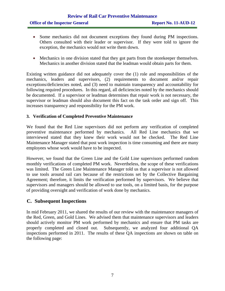## **Review of Rail Car Preventive Maintenance Office of the Inspector General Report No. 11-AUD-12**

- Some mechanics did not document exceptions they found during PM inspections. Others consulted with their leader or supervisor. If they were told to ignore the exception, the mechanics would not write them down.
- Mechanics in one division stated that they got parts from the storekeeper themselves. Mechanics in another division stated that the leadman would obtain parts for them.

Existing written guidance did not adequately cover the (1) role and responsibilities of the mechanics, leaders and supervisors, (2) requirements to document and/or repair exceptions/deficiencies noted, and (3) need to maintain transparency and accountability for following required procedures. In this regard, all deficiencies noted by the mechanics should be documented. If a supervisor or leadman determines that repair work is not necessary, the supervisor or leadman should also document this fact on the task order and sign off. This increases transparency and responsibility for the PM work.

#### **3. Verification of Completed Preventive Maintenance**

We found that the Red Line supervisors did not perform any verification of completed preventive maintenance performed by mechanics. All Red Line mechanics that we interviewed stated that they knew their work would not be checked. The Red Line Maintenance Manager stated that post work inspection is time consuming and there are many employees whose work would have to be inspected.

However, we found that the Green Line and the Gold Line supervisors performed random monthly verifications of completed PM work. Nevertheless, the scope of these verifications was limited. The Green Line Maintenance Manager told us that a supervisor is not allowed to use tools around rail cars because of the restrictions set by the Collective Bargaining Agreement; therefore, it limits the verification performed by supervisors. We believe that supervisors and managers should be allowed to use tools, on a limited basis, for the purpose of providing oversight and verification of work done by mechanics.

#### **C. Subsequent Inspections**

In mid February 2011, we shared the results of our review with the maintenance managers of the Red, Green, and Gold Lines. We advised them that maintenance supervisors and leaders should actively monitor PM work performed by mechanics and ensure that PM tasks are properly completed and closed out. Subsequently, we analyzed four additional QA inspections performed in 2011. The results of these QA inspections are shown on table on the following page: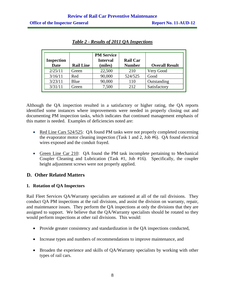| <b>Inspection</b><br><b>Date</b> | <b>Rail Line</b> | <b>PM Service</b><br><b>Interval</b><br>(miles) | <b>Rail Car</b><br><b>Number</b> | <b>Overall Result</b> |
|----------------------------------|------------------|-------------------------------------------------|----------------------------------|-----------------------|
| 2/25/11                          | Green            | 22,500                                          | 210                              | Very Good             |
| 3/16/11                          | Red              | 90,000                                          | 524/525                          | Good                  |
| 3/23/11                          | Blue             | 90,000                                          | 110                              | Outstanding           |
| 3/31/11                          | Green            | 7,500                                           | 2.12                             | Satisfactory          |

*Table 2 - Results of 2011 QA Inspections* 

Although the QA inspection resulted in a satisfactory or higher rating, the QA reports identified some instances where improvements were needed in properly closing out and documenting PM inspection tasks, which indicates that continued management emphasis of this matter is needed. Examples of deficiencies noted are:

- Red Line Cars 524/525: QA found PM tasks were not properly completed concerning the evaporator motor cleaning inspection (Task 1 and 2, Job #6). QA found electrical wires exposed and the conduit frayed.
- Green Line Car 210: QA found the PM task incomplete pertaining to Mechanical Coupler Cleaning and Lubrication (Task #1, Job #16). Specifically, the coupler height adjustment screws were not properly applied.

### **D. Other Related Matters**

#### **1. Rotation of QA Inspectors**

Rail Fleet Services QA/Warranty specialists are stationed at all of the rail divisions. They conduct QA PM inspections at the rail divisions, and assist the division on warranty, repair, and maintenance issues. They perform the QA inspections at only the divisions that they are assigned to support. We believe that the QA/Warranty specialists should be rotated so they would perform inspections at other rail divisions. This would:

- Provide greater consistency and standardization in the QA inspections conducted,
- Increase types and numbers of recommendations to improve maintenance, and
- Broaden the experience and skills of QA/Warranty specialists by working with other types of rail cars.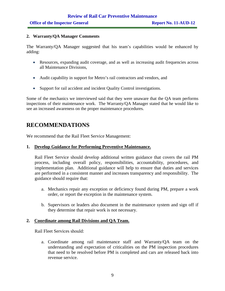#### **2. Warranty/QA Manager Comments**

The Warranty/QA Manager suggested that his team's capabilities would be enhanced by adding:

- Resources, expanding audit coverage, and as well as increasing audit frequencies across all Maintenance Divisions,
- Audit capability in support for Metro's rail contractors and vendors, and
- Support for rail accident and incident Quality Control investigations.

Some of the mechanics we interviewed said that they were unaware that the QA team performs inspections of their maintenance work. The Warranty/QA Manager stated that he would like to see an increased awareness on the proper maintenance procedures.

## **RECOMMENDATIONS**

We recommend that the Rail Fleet Service Management:

#### **1. Develop Guidance for Performing Preventive Maintenance.**

Rail Fleet Service should develop additional written guidance that covers the rail PM process, including overall policy, responsibilities, accountability, procedures, and implementation plan. Additional guidance will help to ensure that duties and services are performed in a consistent manner and increases transparency and responsibility. The guidance should require that:

- a. Mechanics repair any exception or deficiency found during PM, prepare a work order, or report the exception in the maintenance system.
- b. Supervisors or leaders also document in the maintenance system and sign off if they determine that repair work is not necessary.

#### **2. Coordinate among Rail Divisions and QA Team.**

Rail Fleet Services should:

a. Coordinate among rail maintenance staff and Warranty/QA team on the understanding and expectation of criticalities on the PM inspection procedures that need to be resolved before PM is completed and cars are released back into revenue service.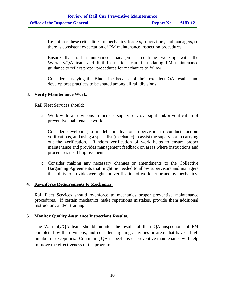- b. Re-enforce these criticalities to mechanics, leaders, supervisors, and managers, so there is consistent expectation of PM maintenance inspection procedures.
- c. Ensure that rail maintenance management continue working with the Warranty/QA team and Rail Instruction team in updating PM maintenance guidance to reflect proper procedures for mechanics to follow.
- d. Consider surveying the Blue Line because of their excellent QA results, and develop best practices to be shared among all rail divisions.

#### **3. Verify Maintenance Work.**

Rail Fleet Services should:

- a. Work with rail divisions to increase supervisory oversight and/or verification of preventive maintenance work.
- b. Consider developing a model for division supervisors to conduct random verifications, and using a specialist (mechanic) to assist the supervisor in carrying out the verification. Random verification of work helps to ensure proper maintenance and provides management feedback on areas where instructions and procedures need improvement.
- c. Consider making any necessary changes or amendments to the Collective Bargaining Agreements that might be needed to allow supervisors and managers the ability to provide oversight and verification of work performed by mechanics.

#### **4. Re-enforce Requirements to Mechanics.**

Rail Fleet Services should re-enforce to mechanics proper preventive maintenance procedures. If certain mechanics make repetitious mistakes, provide them additional instructions and/or training.

#### **5. Monitor Quality Assurance Inspections Results.**

The Warranty/QA team should monitor the results of their QA inspections of PM completed by the divisions, and consider targeting activities or areas that have a high number of exceptions. Continuing QA inspections of preventive maintenance will help improve the effectiveness of the program.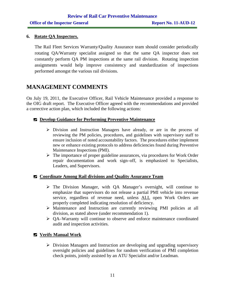#### **6. Rotate QA Inspectors.**

The Rail Fleet Services Warranty/Quality Assurance team should consider periodically rotating QA/Warranty specialist assigned so that the same QA inspector does not constantly perform QA PM inspections at the same rail division. Rotating inspection assignments would help improve consistency and standardization of inspections performed amongst the various rail divisions.

## **MANAGEMENT COMMENTS**

On July 19, 2011, the Executive Officer, Rail Vehicle Maintenance provided a response to the OIG draft report. The Executive Officer agreed with the recommendations and provided a corrective action plan, which included the following actions:

#### **Develop Guidance for Performing Preventive Maintenance**

- $\triangleright$  Division and Instruction Managers have already, or are in the process of reviewing the PM policies, procedures, and guidelines with supervisory staff to ensure inclusion of noted accountability factors. The procedures either implement new or enhance existing protocols to address deficiencies found during Preventive Maintenance Inspections (PMI).
- $\triangleright$  The importance of proper guideline assurances, via procedures for Work Order repair documentation and work sign–off, is emphasized to Specialists, Leaders, and Supervisors.

#### **Coordinate Among Rail divisions and Quality Assurance Team**

- $\triangleright$  The Division Manager, with QA Manager's oversight, will continue to emphasize that supervisors do not release a partial PMI vehicle into revenue service, regardless of revenue need, unless ALL open Work Orders are properly completed indicating resolution of deficiency.
- ¾ Maintenance and Instruction are currently reviewing PMI policies at all division, as stated above (under recommendation 1).
- ¾ QA–Warranty will continue to observe and enforce maintenance coordinated audit and inspection activities.

#### **Verify Manual Work**

 $\triangleright$  Division Managers and Instruction are developing and upgrading supervisory oversight policies and guidelines for random verification of PMI completion check points, jointly assisted by an ATU Specialist and/or Leadman.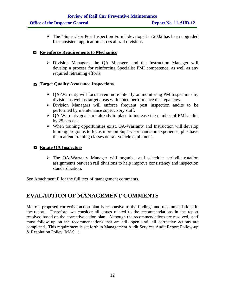$\triangleright$  The "Supervisor Post Inspection Form" developed in 2002 has been upgraded for consistent application across all rail divisions.

#### **Re-enforce Requirements to Mechanics**

¾ Division Managers, the QA Manager, and the Instruction Manager will develop a process for reinforcing Specialist PMI competence, as well as any required retraining efforts.

#### $\blacksquare$  Target Quality Assurance Inspections

- ¾ QA-Warranty will focus even more intently on monitoring PM Inspections by division as well as target areas with noted performance discrepancies.
- $\triangleright$  Division Managers will enforce frequent post inspection audits to be performed by maintenance supervisory staff.
- $\triangleright$  QA-Warranty goals are already in place to increase the number of PMI audits by 25 percent.
- $\triangleright$  When training opportunities exist, QA-Warranty and Instruction will develop training programs to focus more on Supervisor hands-on experience, plus have them attend training classes on rail vehicle equipment.

#### **Rotate QA Inspectors**

¾ The QA-Warranty Manager will organize and schedule periodic rotation assignments between rail divisions to help improve consistency and inspection standardization.

See Attachment E for the full text of management comments.

## **EVALAUTION OF MANAGEMENT COMMENTS**

Metro's proposed corrective action plan is responsive to the findings and recommendations in the report. Therefore, we consider all issues related to the recommendations in the report resolved based on the corrective action plan. Although the recommendations are resolved, staff must follow up on the recommendations that are still open until all corrective actions are completed. This requirement is set forth in Management Audit Services Audit Report Follow-up & Resolution Policy (MAS 1).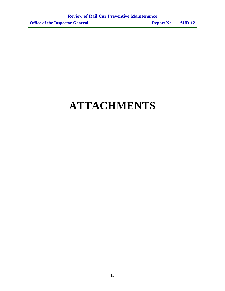# **ATTACHMENTS**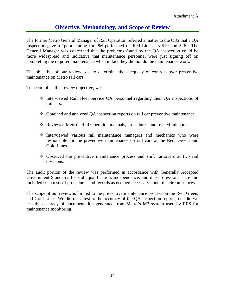## **Objective, Methodology, and Scope of Review**

The former Metro General Manager of Rail Operation referred a matter to the OIG that a QA inspection gave a "poor" rating for PM performed on Red Line cars 519 and 526. The General Manager was concerned that the problems found by the QA inspection could be more widespread and indicative that maintenance personnel were just signing off on completing the required maintenance when in fact they did not do the maintenance work.

The objective of our review was to determine the adequacy of controls over preventive maintenance on Metro rail cars.

To accomplish this review objective, we:

- Interviewed Rail Fleet Service QA personnel regarding their QA inspections of rail cars.
- Obtained and analyzed QA inspection reports on rail car preventive maintenance.
- Reviewed Metro's Rail Operation manuals, procedures, and related rulebooks.
- Interviewed various rail maintenance managers and mechanics who were responsible for the preventive maintenance on rail cars at the Red, Green, and Gold Lines.
- Observed the preventive maintenance process and shift turnovers at two rail divisions.

The audit portion of the review was performed in accordance with Generally Accepted Government Standards for staff qualification, independence, and due professional care and included such tests of procedures and records as deemed necessary under the circumstances.

The scope of our review is limited to the preventive maintenance process on the Red, Green, and Gold Line. We did not attest to the accuracy of the QA inspection reports, nor did we test the accuracy of documentation generated from Metro's M3 system used by RFS for maintenance monitoring.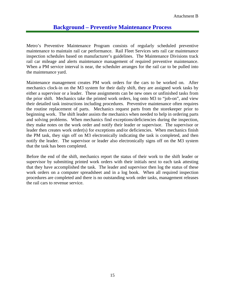## **Background – Preventive Maintenance Process**

Metro's Preventive Maintenance Program consists of regularly scheduled preventive maintenance to maintain rail car performance. Rail Fleet Services sets rail car maintenance inspection schedules based on manufacturer's guidelines. The Maintenance Divisions track rail car mileage and alerts maintenance management of required preventive maintenance. When a PM service interval is near, the scheduler arranges for the rail car to be pulled into the maintenance yard.

Maintenance management creates PM work orders for the cars to be worked on. After mechanics clock-in on the M3 system for their daily shift, they are assigned work tasks by either a supervisor or a leader. These assignments can be new ones or unfinished tasks from the prior shift. Mechanics take the printed work orders, log onto M3 to "job-on", and view their detailed task instructions including procedures. Preventive maintenance often requires the routine replacement of parts. Mechanics request parts from the storekeeper prior to beginning work. The shift leader assists the mechanics when needed to help in ordering parts and solving problems. When mechanics find exceptions/deficiencies during the inspection, they make notes on the work order and notify their leader or supervisor. The supervisor or leader then creates work order(s) for exceptions and/or deficiencies. When mechanics finish the PM task, they sign off on M3 electronically indicating the task is completed, and then notify the leader. The supervisor or leader also electronically signs off on the M3 system that the task has been completed.

Before the end of the shift, mechanics report the status of their work to the shift leader or supervisor by submitting printed work orders with their initials next to each task attesting that they have accomplished the task. The leader and supervisor then log the status of these work orders on a computer spreadsheet and in a log book. When all required inspection procedures are completed and there is no outstanding work order tasks, management releases the rail cars to revenue service.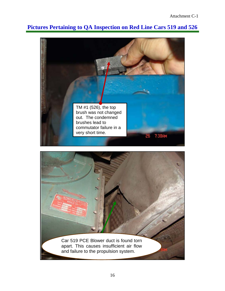## **Pictures Pertaining to QA Inspection on Red Line Cars 519 and 526**



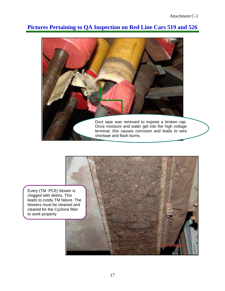## **Pictures Pertaining to QA Inspection on Red Line Cars 519 and 526**





clogged with debris. This leads to costly TM failure. The blowers must be cleaned and cleared for the Cyclone filter to work properly.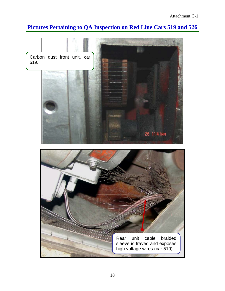## **Pictures Pertaining to QA Inspection on Red Line Cars 519 and 526**

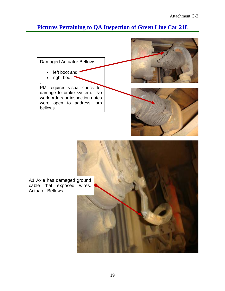## **Pictures Pertaining to QA Inspection of Green Line Car 218**

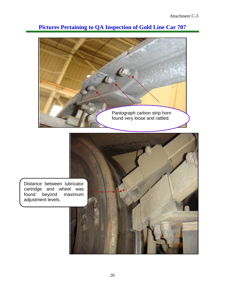

## **Pictures Pertaining to QA Inspection of Gold Line Car 707**

Distance between lubricator cartridge and wheel was<br>found beyond maximum beyond adjustment levels.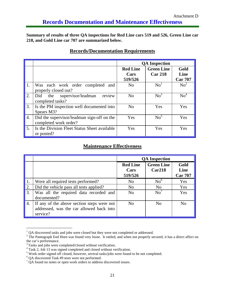**Summary of results of three QA inspections for Red Line cars 519 and 526, Green Line car 218, and Gold Line car 707 are summarized below.** 

|                  |                                              | <b>QA</b> Inspection |                   |                 |
|------------------|----------------------------------------------|----------------------|-------------------|-----------------|
|                  |                                              | <b>Red Line</b>      | <b>Green Line</b> | Gold            |
|                  |                                              | Cars                 | <b>Car 218</b>    | Line            |
|                  |                                              | 519/526              |                   | <b>Car 707</b>  |
| 1.               | Was each work order completed<br>and         | N <sub>o</sub>       | No <sup>1</sup>   | $\mathrm{No}^2$ |
|                  | properly closed out?                         |                      |                   |                 |
| 2.               | review<br>Did the supervisor/leadman         | No                   | No <sup>3</sup>   | $\mathrm{No}^4$ |
|                  | completed tasks?                             |                      |                   |                 |
| 3.               | Is the PM inspection well documented into    | No                   | Yes               | Yes             |
|                  | Spears M3?                                   |                      |                   |                 |
| $\overline{4}$ . | Did the supervisor/leadman sign-off on the   | Yes                  | $\mathrm{No}^5$   | Yes             |
|                  | completed work order?                        |                      |                   |                 |
| 5.               | Is the Division Fleet Status Sheet available | Yes                  | Yes               | Yes             |
|                  | or posted?                                   |                      |                   |                 |

### **Records/Documentation Requirements**

#### **Maintenance Effectiveness**

|                  |                                                                                                    | <b>QA</b> Inspection               |                             |                                |  |
|------------------|----------------------------------------------------------------------------------------------------|------------------------------------|-----------------------------|--------------------------------|--|
|                  |                                                                                                    | <b>Red Line</b><br>Cars<br>519/526 | <b>Green Line</b><br>Car218 | Gold<br>Line<br><b>Car 707</b> |  |
| 1.               | Were all required tests performed?                                                                 | N <sub>0</sub>                     | No <sup>6</sup>             | Yes                            |  |
| 2.               | Did the vehicle pass all tests applied?                                                            | N <sub>0</sub>                     | N <sub>0</sub>              | <b>Yes</b>                     |  |
| 3.               | Was all the required data recorded and<br>documented?                                              | N <sub>0</sub>                     | No'                         | Yes                            |  |
| $\overline{4}$ . | If any of the above section steps were not<br>addressed, was the car allowed back into<br>service? | N <sub>0</sub>                     | N <sub>0</sub>              | No                             |  |

 $1$  QA discovered tasks and jobs were closed but they were not completed or addressed.

\_\_\_\_\_\_\_\_\_\_\_\_\_\_\_\_\_\_\_\_

 $2$  The Pantograph End Horn was found very loose. It rattled, and when not properly secured, it has a direct affect on the car's performance.

<sup>&</sup>lt;sup>3</sup> Tasks and jobs were completed/closed without verification.

<sup>&</sup>lt;sup>4</sup> Task 2, Job 13 was signed completed and closed without verification.

<sup>&</sup>lt;sup>5</sup> Work order signed off closed, however, several tasks/jobs were found to be not completed.

<sup>6</sup> QA discovered Task #9 tests were not performed.

 $7 \text{ QA}$  found no notes or open work orders to address discovered issues.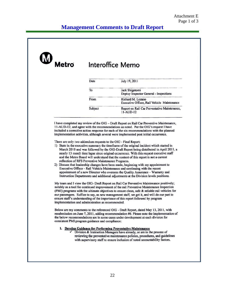

- 1) State in the executive summary the timeframe of the original incident which started in March 2010 and was followed by the OIG-Draft Report being distributed in April 2011, a nearly 13 month time lapse since original occurrence. With this request executive staff and the Metro Board will understand that the content of this report is not a current reflection of RFS Preventive Maintenance Programs.
- 2) Discuss that leadership changes have been made, beginning with my appointment to Executive Officer - Rail Vehicle Maintenance and continuing with the recent appointment of a new Director who oversees the Quality Assurance - Warranty and Instruction Departments and additional adjustments at the Division levels positions.

My team and I view the OIG- Draft Report on Rail Car Preventive Maintenance positively; notably as a tool for continued improvement of the rail Preventive Maintenance Inspection (PMI) programs with the ultimate objectives to ensure clean, safe & reliable rail vehicles for our passengers. Suffice to say, as new management staff, we get it, and will do our part to ensure staff's understanding of the importance of this report followed by program implementation and administration as recommended.

Below are my comments to the referenced OIG - Draft Report, dated May 13, 2011, with resubmission on June 7, 2011, adding recommendation  $#6$ . Please note the implementation of the below recommendations are in some cases under development at each division for consistent PMI program guidance and compliance:

#### 1. Develop Guidance for Performing Preventative Maintenance

Division & Instruction Managers have already, or are in the process of reviewing the preventative maintenance policies, procedures, and guidelines with supervisory staff to ensure inclusion of noted accountability factors.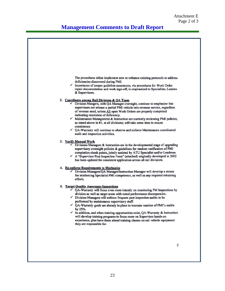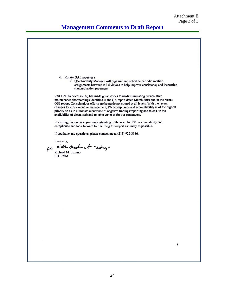## **Management Comments to Draft Report**

6. Rotate QA Inspectors  $\sqrt{QA-Warray}$  Manager will organize and schedule periodic rotation assignments between rail divisions to help improve consistency and inspection standardization processes. Rail Fleet Services (RFS) has made great strides towards eliminating preventative maintenance shortcomings identified in the OA report dated March 2010 and in the recent OIG report. Conscientious efforts are being demonstrated at all levels. With the recent changes to RFS executive management, PMI compliance and accountability is of the highest priority so as to eliminate recurrence of negative findings/reporting and to ensure the availability of clean, safe and reliable vehicles for our passengers. In closing, I appreciate your understanding of the need for PMI accountability and compliance and look forward to finalizing this report as timely as possible. If you have any questions, please contact me at (213) 922-3186. Sincerely, nick madament " Acting" For Richard M. Lozano EO, RVM  $\overline{\mathbf{3}}$